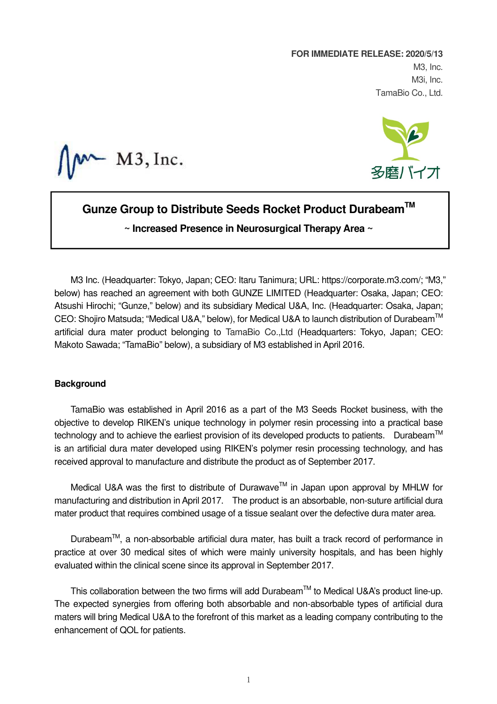**FOR IMMEDIATE RELEASE: 2020/5/13**  M3, Inc. M3i, Inc. TamaBio Co., Ltd.

 $M3$ , Inc.



# **Gunze Group to Distribute Seeds Rocket Product DurabeamTM**

**~ Increased Presence in Neurosurgical Therapy Area ~**

M3 Inc. (Headquarter: Tokyo, Japan; CEO: Itaru Tanimura; URL: https://corporate.m3.com/; "M3," below) has reached an agreement with both GUNZE LIMITED (Headquarter: Osaka, Japan; CEO: Atsushi Hirochi; "Gunze," below) and its subsidiary Medical U&A, Inc. (Headquarter: Osaka, Japan; CEO: Shojiro Matsuda; "Medical U&A," below), for Medical U&A to launch distribution of Durabeam™ artificial dura mater product belonging to TamaBio Co.,Ltd (Headquarters: Tokyo, Japan; CEO: Makoto Sawada; "TamaBio" below), a subsidiary of M3 established in April 2016.

## **Background**

TamaBio was established in April 2016 as a part of the M3 Seeds Rocket business, with the objective to develop RIKEN's unique technology in polymer resin processing into a practical base technology and to achieve the earliest provision of its developed products to patients. Durabeam<sup>TM</sup> is an artificial dura mater developed using RIKEN's polymer resin processing technology, and has received approval to manufacture and distribute the product as of September 2017.

Medical U&A was the first to distribute of Durawave™ in Japan upon approval by MHLW for manufacturing and distribution in April 2017. The product is an absorbable, non-suture artificial dura mater product that requires combined usage of a tissue sealant over the defective dura mater area.

Durabeam<sup>™</sup>, a non-absorbable artificial dura mater, has built a track record of performance in practice at over 30 medical sites of which were mainly university hospitals, and has been highly evaluated within the clinical scene since its approval in September 2017.

This collaboration between the two firms will add Durabeam™ to Medical U&A's product line-up. The expected synergies from offering both absorbable and non-absorbable types of artificial dura maters will bring Medical U&A to the forefront of this market as a leading company contributing to the enhancement of QOL for patients.